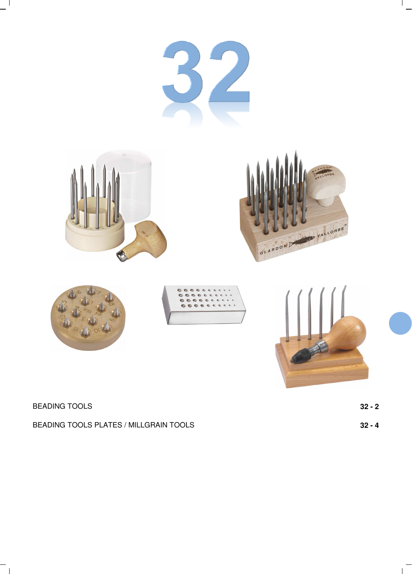

| <b>BEADING TOOLS</b> | 32 - 2 |
|----------------------|--------|
|----------------------|--------|

 $^{-}$  1

 $\mathbf{1}$ 

 $\mathbf{L}$ 

BEADING TOOLS PLATES / MILLGRAIN TOOLS **32 - 4**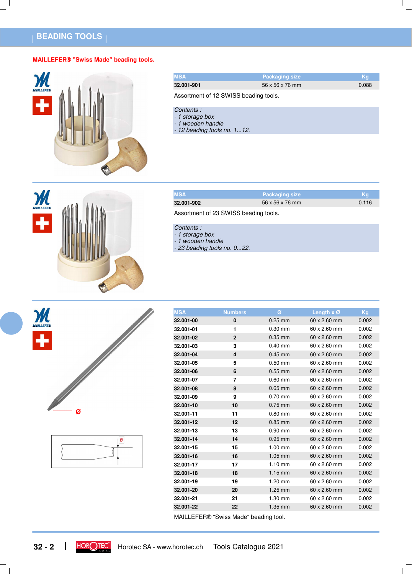# **BEADING TOOLS**

M

÷

### **MAILLEFER® "Swiss Made" beading tools.**



| <b>MSA</b>                            | <b>Packaging size</b> | Kg    |
|---------------------------------------|-----------------------|-------|
| 32.001-901                            | 56 x 56 x 76 mm       | 0.088 |
| Assortment of 12 SWISS beading tools. |                       |       |
| Contents:<br>- 1 storage box          |                       |       |

- 1 wooden handle
- 12 beading tools no. 1...12.
- **MSA Packaging size Kg 32.001-902** 56 x 56 x 76 mm Assortment of 23 SWISS beading tools.

### Contents :

- 1 storage box
- 1 wooden handle
- 23 beading tools no. 0...22.





| <b>MSA</b> | <b>Numbers</b>          | Ø         | Length $x \oslash$  | Kg    |
|------------|-------------------------|-----------|---------------------|-------|
| 32.001-00  | 0                       | $0.25$ mm | $60 \times 2.60$ mm | 0.002 |
| 32.001-01  | 1                       | $0.30$ mm | $60 \times 2.60$ mm | 0.002 |
| 32.001-02  | $\overline{2}$          | $0.35$ mm | $60 \times 2.60$ mm | 0.002 |
| 32.001-03  | 3                       | $0.40$ mm | $60 \times 2.60$ mm | 0.002 |
| 32.001-04  | $\overline{\mathbf{4}}$ | $0.45$ mm | 60 x 2.60 mm        | 0.002 |
| 32.001-05  | 5                       | $0.50$ mm | 60 x 2.60 mm        | 0.002 |
| 32.001-06  | 6                       | $0.55$ mm | 60 x 2.60 mm        | 0.002 |
| 32.001-07  | $\overline{7}$          | $0.60$ mm | 60 x 2.60 mm        | 0.002 |
| 32.001-08  | 8                       | $0.65$ mm | $60 \times 2.60$ mm | 0.002 |
| 32.001-09  | 9                       | $0.70$ mm | $60 \times 2.60$ mm | 0.002 |
| 32.001-10  | 10                      | $0.75$ mm | $60 \times 2.60$ mm | 0.002 |
| 32.001-11  | 11                      | $0.80$ mm | $60 \times 2.60$ mm | 0.002 |
| 32.001-12  | 12                      | $0.85$ mm | 60 x 2.60 mm        | 0.002 |
| 32.001-13  | 13                      | $0.90$ mm | 60 x 2.60 mm        | 0.002 |
| 32.001-14  | 14                      | $0.95$ mm | $60 \times 2.60$ mm | 0.002 |
| 32.001-15  | 15                      | $1.00$ mm | 60 x 2.60 mm        | 0.002 |
| 32.001-16  | 16                      | $1.05$ mm | 60 x 2.60 mm        | 0.002 |
| 32.001-17  | 17                      | $1.10$ mm | 60 x 2.60 mm        | 0.002 |
| 32.001-18  | 18                      | $1.15$ mm | $60 \times 2.60$ mm | 0.002 |
| 32.001-19  | 19                      | $1.20$ mm | $60 \times 2.60$ mm | 0.002 |
| 32.001-20  | 20                      | $1.25$ mm | 60 x 2.60 mm        | 0.002 |
| 32.001-21  | 21                      | $1.30$ mm | 60 x 2.60 mm        | 0.002 |
| 32.001-22  | 22                      | $1.35$ mm | $60 \times 2.60$ mm | 0.002 |

MAILLEFER® "Swiss Made" beading tool.



 $\perp$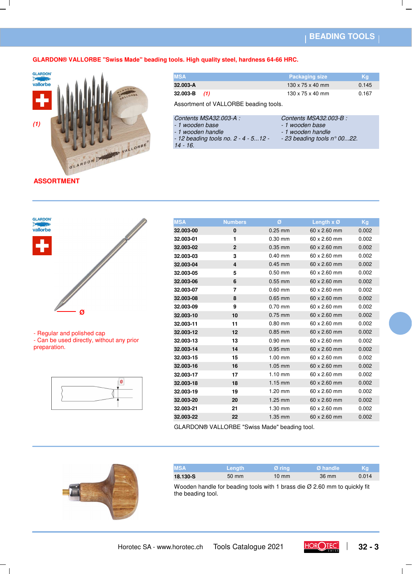### **BEADING TOOLS**

### **GLARDON® VALLORBE "Swiss Made" beading tools. High quality steel, hardness 64-66 HRC.**



| <b>MSA</b>       | <b>Packaging size</b>        | Kq    |
|------------------|------------------------------|-------|
| 32.003-A         | $130 \times 75 \times 40$ mm | 0.145 |
| $32.003 - B$ (1) | $130 \times 75 \times 40$ mm | 0.167 |
|                  |                              |       |

Assortment of VALLORBE beading tools.

| Contents MSA32.003-A : |  |
|------------------------|--|
| - 1 wooden base        |  |

Contents MSA32.003-B :

- 1 wooden handle
- 

- 1 wooden handle

- 12 beading tools no. 2 - 4 - 5...12 -

- 1 wooden base

- 23 beading tools n° 00...22.

14 - 16.

**ASSORTMENT**



- Regular and polished cap

- Can be used directly, without any prior preparation.



| <b>MSA</b> | <b>Numbers</b>          | Ø         | Length $x \oslash$  | Kg    |
|------------|-------------------------|-----------|---------------------|-------|
| 32.003-00  | 0                       | $0.25$ mm | $60 \times 2.60$ mm | 0.002 |
| 32.003-01  | 1                       | $0.30$ mm | 60 x 2.60 mm        | 0.002 |
| 32.003-02  | $\overline{2}$          | $0.35$ mm | 60 x 2.60 mm        | 0.002 |
| 32.003-03  | 3                       | $0.40$ mm | $60 \times 2.60$ mm | 0.002 |
| 32.003-04  | $\overline{\mathbf{4}}$ | $0.45$ mm | 60 x 2.60 mm        | 0.002 |
| 32.003-05  | 5                       | $0.50$ mm | 60 x 2.60 mm        | 0.002 |
| 32.003-06  | 6                       | $0.55$ mm | 60 x 2.60 mm        | 0.002 |
| 32.003-07  | 7                       | $0.60$ mm | 60 x 2.60 mm        | 0.002 |
| 32.003-08  | 8                       | $0.65$ mm | 60 x 2.60 mm        | 0.002 |
| 32.003-09  | 9                       | $0.70$ mm | 60 x 2.60 mm        | 0.002 |
| 32.003-10  | 10                      | $0.75$ mm | 60 x 2.60 mm        | 0.002 |
| 32.003-11  | 11                      | $0.80$ mm | 60 x 2.60 mm        | 0.002 |
| 32.003-12  | 12                      | $0.85$ mm | 60 x 2.60 mm        | 0.002 |
| 32.003-13  | 13                      | $0.90$ mm | $60 \times 2.60$ mm | 0.002 |
| 32.003-14  | 14                      | $0.95$ mm | 60 x 2.60 mm        | 0.002 |
| 32.003-15  | 15                      | $1.00$ mm | 60 x 2.60 mm        | 0.002 |
| 32.003-16  | 16                      | $1.05$ mm | 60 x 2.60 mm        | 0.002 |
| 32.003-17  | 17                      | $1.10$ mm | 60 x 2.60 mm        | 0.002 |
| 32.003-18  | 18                      | $1.15$ mm | $60 \times 2.60$ mm | 0.002 |
| 32.003-19  | 19                      | $1.20$ mm | 60 x 2.60 mm        | 0.002 |
| 32.003-20  | 20                      | $1.25$ mm | 60 x 2.60 mm        | 0.002 |
| 32.003-21  | 21                      | $1.30$ mm | 60 x 2.60 mm        | 0.002 |
| 32.003-22  | 22                      | 1.35 mm   | $60 \times 2.60$ mm | 0.002 |
|            |                         |           |                     |       |

GLARDON® VALLORBE "Swiss Made" beading tool.



| <b>MSA</b> | <b>Length</b>   | $\varnothing$ ring | NØ handle \ | Kq    |
|------------|-----------------|--------------------|-------------|-------|
| 18.130-S   | $50 \text{ mm}$ | $10 \text{ mm}$    | 36 mm       | 0.014 |

Wooden handle for beading tools with 1 brass die Ø 2.60 mm to quickly fit the beading tool.